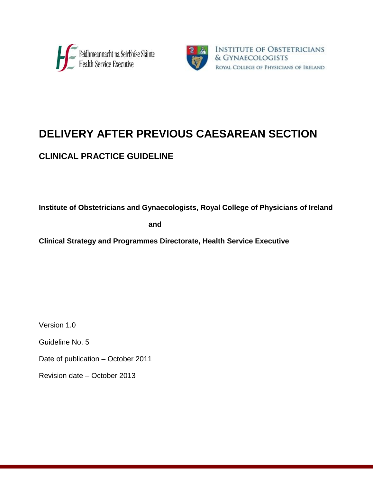



# **DELIVERY AFTER PREVIOUS CAESAREAN SECTION**

# **CLINICAL PRACTICE GUIDELINE**

**Institute of Obstetricians and Gynaecologists, Royal College of Physicians of Ireland**

**and**

**Clinical Strategy and Programmes Directorate, Health Service Executive**

Version 1.0

Guideline No. 5

Date of publication – October 2011

Revision date – October 2013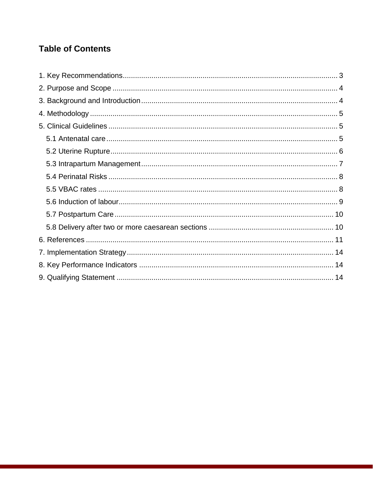# **Table of Contents**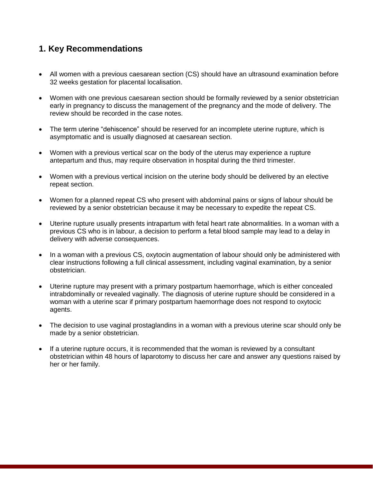# <span id="page-2-0"></span>**1. Key Recommendations**

- All women with a previous caesarean section (CS) should have an ultrasound examination before 32 weeks gestation for placental localisation.
- Women with one previous caesarean section should be formally reviewed by a senior obstetrician early in pregnancy to discuss the management of the pregnancy and the mode of delivery. The review should be recorded in the case notes.
- The term uterine "dehiscence" should be reserved for an incomplete uterine rupture, which is asymptomatic and is usually diagnosed at caesarean section.
- Women with a previous vertical scar on the body of the uterus may experience a rupture antepartum and thus, may require observation in hospital during the third trimester.
- Women with a previous vertical incision on the uterine body should be delivered by an elective repeat section.
- Women for a planned repeat CS who present with abdominal pains or signs of labour should be reviewed by a senior obstetrician because it may be necessary to expedite the repeat CS.
- Uterine rupture usually presents intrapartum with fetal heart rate abnormalities. In a woman with a previous CS who is in labour, a decision to perform a fetal blood sample may lead to a delay in delivery with adverse consequences.
- In a woman with a previous CS, oxytocin augmentation of labour should only be administered with clear instructions following a full clinical assessment, including vaginal examination, by a senior obstetrician.
- Uterine rupture may present with a primary postpartum haemorrhage, which is either concealed intrabdominally or revealed vaginally. The diagnosis of uterine rupture should be considered in a woman with a uterine scar if primary postpartum haemorrhage does not respond to oxytocic agents.
- The decision to use vaginal prostaglandins in a woman with a previous uterine scar should only be made by a senior obstetrician.
- If a uterine rupture occurs, it is recommended that the woman is reviewed by a consultant obstetrician within 48 hours of laparotomy to discuss her care and answer any questions raised by her or her family.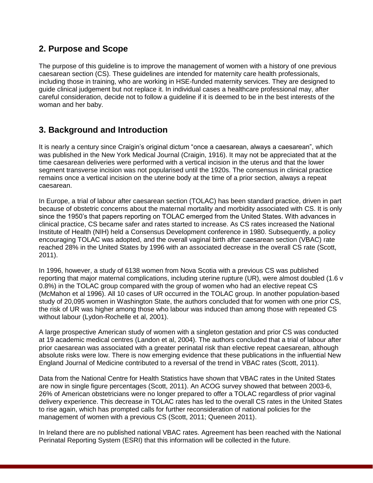### <span id="page-3-0"></span>**2. Purpose and Scope**

The purpose of this guideline is to improve the management of women with a history of one previous caesarean section (CS). These guidelines are intended for maternity care health professionals, including those in training, who are working in HSE-funded maternity services. They are designed to guide clinical judgement but not replace it. In individual cases a healthcare professional may, after careful consideration, decide not to follow a guideline if it is deemed to be in the best interests of the woman and her baby.

# <span id="page-3-1"></span>**3. Background and Introduction**

It is nearly a century since Craigin's original dictum "once a caesarean, always a caesarean", which was published in the New York Medical Journal (Craigin, 1916). It may not be appreciated that at the time caesarean deliveries were performed with a vertical incision in the uterus and that the lower segment transverse incision was not popularised until the 1920s. The consensus in clinical practice remains once a vertical incision on the uterine body at the time of a prior section, always a repeat caesarean.

In Europe, a trial of labour after caesarean section (TOLAC) has been standard practice, driven in part because of obstetric concerns about the maternal mortality and morbidity associated with CS. It is only since the 1950's that papers reporting on TOLAC emerged from the United States. With advances in clinical practice, CS became safer and rates started to increase. As CS rates increased the National Institute of Health (NIH) held a Consensus Development conference in 1980. Subsequently, a policy encouraging TOLAC was adopted, and the overall vaginal birth after caesarean section (VBAC) rate reached 28% in the United States by 1996 with an associated decrease in the overall CS rate (Scott, 2011).

In 1996, however, a study of 6138 women from Nova Scotia with a previous CS was published reporting that major maternal complications, including uterine rupture (UR), were almost doubled (1.6 v 0.8%) in the TOLAC group compared with the group of women who had an elective repeat CS (McMahon et al 1996). All 10 cases of UR occurred in the TOLAC group. In another population-based study of 20,095 women in Washington State, the authors concluded that for women with one prior CS, the risk of UR was higher among those who labour was induced than among those with repeated CS without labour (Lydon-Rochelle et al, 2001).

A large prospective American study of women with a singleton gestation and prior CS was conducted at 19 academic medical centres (Landon et al, 2004). The authors concluded that a trial of labour after prior caesarean was associated with a greater perinatal risk than elective repeat caesarean, although absolute risks were low. There is now emerging evidence that these publications in the influential New England Journal of Medicine contributed to a reversal of the trend in VBAC rates (Scott, 2011).

Data from the National Centre for Health Statistics have shown that VBAC rates in the United States are now in single figure percentages (Scott, 2011). An ACOG survey showed that between 2003-6, 26% of American obstetricians were no longer prepared to offer a TOLAC regardless of prior vaginal delivery experience. This decrease in TOLAC rates has led to the overall CS rates in the United States to rise again, which has prompted calls for further reconsideration of national policies for the management of women with a previous CS (Scott, 2011; Queneen 2011).

In Ireland there are no published national VBAC rates. Agreement has been reached with the National Perinatal Reporting System (ESRI) that this information will be collected in the future.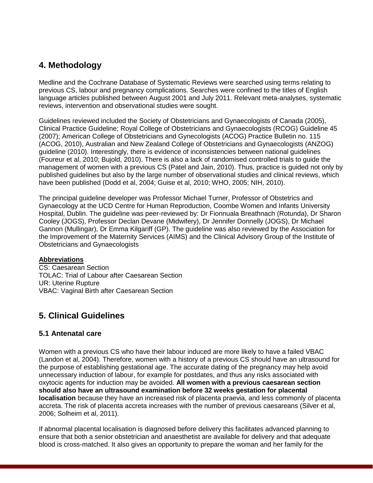# <span id="page-4-0"></span>**4. Methodology**

Medline and the Cochrane Database of Systematic Reviews were searched using terms relating to previous CS, labour and pregnancy complications. Searches were confined to the titles of English language articles published between August 2001 and July 2011. Relevant meta-analyses, systematic reviews, intervention and observational studies were sought.

Guidelines reviewed included the Society of Obstetricians and Gynaecologists of Canada (2005), Clinical Practice Guideline; Royal College of Obstetricians and Gynaecologists (RCOG) Guideline 45 (2007); American College of Obstetricians and Gynecologists (ACOG) Practice Bulletin no. 115 (ACOG, 2010), Australian and New Zealand College of Obstetricians and Gynaecologists (ANZOG) guideline (2010). Interestingly, there is evidence of inconsistencies between national guidelines (Foureur et al, 2010; Bujold, 2010). There is also a lack of randomised controlled trials to guide the management of women with a previous CS (Patel and Jain, 2010). Thus, practice is guided not only by published guidelines but also by the large number of observational studies and clinical reviews, which have been published (Dodd et al, 2004; Guise et al, 2010; WHO, 2005; NIH, 2010).

The principal guideline developer was Professor Michael Turner, Professor of Obstetrics and Gynaecology at the UCD Centre for Human Reproduction, Coombe Women and Infants University Hospital, Dublin. The guideline was peer-reviewed by: Dr Fionnuala Breathnach (Rotunda), Dr Sharon Cooley (JOGS), Professor Declan Devane (Midwifery), Dr Jennifer Donnelly (JOGS), Dr Michael Gannon (Mullingar), Dr Emma Kilgariff (GP). The guideline was also reviewed by the Association for the Improvement of the Maternity Services (AIMS) and the Clinical Advisory Group of the Institute of Obstetricians and Gynaecologists

#### **Abbreviations**

CS: Caesarean Section TOLAC: Trial of Labour after Caesarean Section UR: Uterine Rupture VBAC: Vaginal Birth after Caesarean Section

# <span id="page-4-1"></span>**5. Clinical Guidelines**

#### <span id="page-4-2"></span>**5.1 Antenatal care**

Women with a previous CS who have their labour induced are more likely to have a failed VBAC (Landon et al, 2004). Therefore, women with a history of a previous CS should have an ultrasound for the purpose of establishing gestational age. The accurate dating of the pregnancy may help avoid unnecessary induction of labour, for example for postdates, and thus any risks associated with oxytocic agents for induction may be avoided. **All women with a previous caesarean section should also have an ultrasound examination before 32 weeks gestation for placental localisation** because they have an increased risk of placenta praevia, and less commonly of placenta accreta. The risk of placenta accreta increases with the number of previous caesareans (Silver et al, 2006; Solheim et al, 2011).

If abnormal placental localisation is diagnosed before delivery this facilitates advanced planning to ensure that both a senior obstetrician and anaesthetist are available for delivery and that adequate blood is cross-matched. It also gives an opportunity to prepare the woman and her family for the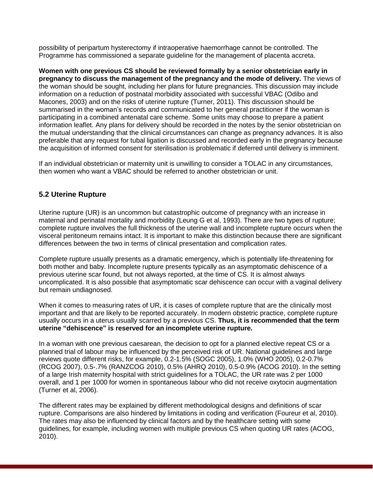possibility of peripartum hysterectomy if intraoperative haemorrhage cannot be controlled. The Programme has commissioned a separate guideline for the management of placenta accreta.

**Women with one previous CS should be reviewed formally by a senior obstetrician early in pregnancy to discuss the management of the pregnancy and the mode of delivery.** The views of the woman should be sought, including her plans for future pregnancies. This discussion may include information on a reduction of postnatal morbidity associated with successful VBAC (Odibo and Macones, 2003) and on the risks of uterine rupture (Turner, 2011). This discussion should be summarised in the woman's records and communicated to her general practitioner if the woman is participating in a combined antenatal care scheme. Some units may choose to prepare a patient information leaflet. Any plans for delivery should be recorded in the notes by the senior obstetrician on the mutual understanding that the clinical circumstances can change as pregnancy advances. It is also preferable that any request for tubal ligation is discussed and recorded early in the pregnancy because the acquisition of informed consent for sterilisation is problematic if deferred until delivery is imminent.

If an individual obstetrician or maternity unit is unwilling to consider a TOLAC in any circumstances, then women who want a VBAC should be referred to another obstetrician or unit.

#### <span id="page-5-0"></span>**5.2 Uterine Rupture**

Uterine rupture (UR) is an uncommon but catastrophic outcome of pregnancy with an increase in maternal and perinatal mortality and morbidity (Leung G et al, 1993). There are two types of rupture; complete rupture involves the full thickness of the uterine wall and incomplete rupture occurs when the visceral peritoneum remains intact. It is important to make this distinction because there are significant differences between the two in terms of clinical presentation and complication rates.

Complete rupture usually presents as a dramatic emergency, which is potentially life-threatening for both mother and baby. Incomplete rupture presents typically as an asymptomatic dehiscence of a previous uterine scar found, but not always reported, at the time of CS. It is almost always uncomplicated. It is also possible that asymptomatic scar dehiscence can occur with a vaginal delivery but remain undiagnosed.

When it comes to measuring rates of UR, it is cases of complete rupture that are the clinically most important and that are likely to be reported accurately. In modern obstetric practice, complete rupture usually occurs in a uterus usually scarred by a previous CS. **Thus, it is recommended that the term uterine "dehiscence" is reserved for an incomplete uterine rupture.**

In a woman with one previous caesarean, the decision to opt for a planned elective repeat CS or a planned trial of labour may be influenced by the perceived risk of UR. National guidelines and large reviews quote different risks, for example, 0.2-1.5% (SOGC 2005), 1.0% (WHO 2005), 0.2-0.7% (RCOG 2007), 0.5-.7% (RANZCOG 2010), 0.5% (AHRQ 2010), 0.5-0.9% (ACOG 2010). In the setting of a large Irish maternity hospital with strict guidelines for a TOLAC, the UR rate was 2 per 1000 overall, and 1 per 1000 for women in spontaneous labour who did not receive oxytocin augmentation (Turner et al, 2006).

The different rates may be explained by different methodological designs and definitions of scar rupture. Comparisons are also hindered by limitations in coding and verification (Foureur et al, 2010). The rates may also be influenced by clinical factors and by the healthcare setting with some guidelines, for example, including women with multiple previous CS when quoting UR rates (ACOG, 2010).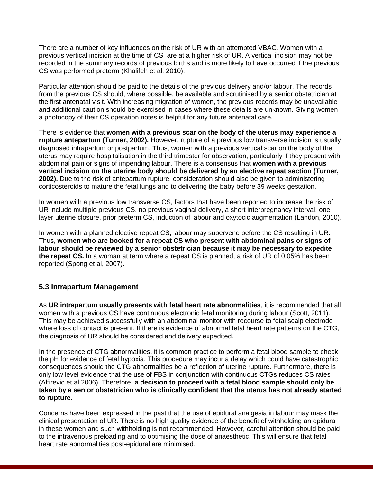There are a number of key influences on the risk of UR with an attempted VBAC. Women with a previous vertical incision at the time of CS are at a higher risk of UR. A vertical incision may not be recorded in the summary records of previous births and is more likely to have occurred if the previous CS was performed preterm (Khalifeh et al, 2010).

Particular attention should be paid to the details of the previous delivery and/or labour. The records from the previous CS should, where possible, be available and scrutinised by a senior obstetrician at the first antenatal visit. With increasing migration of women, the previous records may be unavailable and additional caution should be exercised in cases where these details are unknown. Giving women a photocopy of their CS operation notes is helpful for any future antenatal care.

There is evidence that **women with a previous scar on the body of the uterus may experience a rupture antepartum (Turner, 2002).** However, rupture of a previous low transverse incision is usually diagnosed intrapartum or postpartum. Thus, women with a previous vertical scar on the body of the uterus may require hospitalisation in the third trimester for observation, particularly if they present with abdominal pain or signs of impending labour. There is a consensus that **women with a previous vertical incision on the uterine body should be delivered by an elective repeat section (Turner, 2002).** Due to the risk of antepartum rupture, consideration should also be given to administering corticosteroids to mature the fetal lungs and to delivering the baby before 39 weeks gestation.

In women with a previous low transverse CS, factors that have been reported to increase the risk of UR include multiple previous CS, no previous vaginal delivery, a short interpregnancy interval, one layer uterine closure, prior preterm CS, induction of labour and oxytocic augmentation (Landon, 2010).

In women with a planned elective repeat CS, labour may supervene before the CS resulting in UR. Thus, **women who are booked for a repeat CS who present with abdominal pains or signs of labour should be reviewed by a senior obstetrician because it may be necessary to expedite the repeat CS.** In a woman at term where a repeat CS is planned, a risk of UR of 0.05% has been reported (Spong et al, 2007).

#### <span id="page-6-0"></span>**5.3 Intrapartum Management**

As **UR intrapartum usually presents with fetal heart rate abnormalities**, it is recommended that all women with a previous CS have continuous electronic fetal monitoring during labour (Scott, 2011). This may be achieved successfully with an abdominal monitor with recourse to fetal scalp electrode where loss of contact is present. If there is evidence of abnormal fetal heart rate patterns on the CTG, the diagnosis of UR should be considered and delivery expedited.

In the presence of CTG abnormalities, it is common practice to perform a fetal blood sample to check the pH for evidence of fetal hypoxia. This procedure may incur a delay which could have catastrophic consequences should the CTG abnormalities be a reflection of uterine rupture. Furthermore, there is only low level evidence that the use of FBS in conjunction with continuous CTGs reduces CS rates (Alfirevic et al 2006). Therefore, **a decision to proceed with a fetal blood sample should only be taken by a senior obstetrician who is clinically confident that the uterus has not already started to rupture.** 

Concerns have been expressed in the past that the use of epidural analgesia in labour may mask the clinical presentation of UR. There is no high quality evidence of the benefit of withholding an epidural in these women and such withholding is not recommended. However, careful attention should be paid to the intravenous preloading and to optimising the dose of anaesthetic. This will ensure that fetal heart rate abnormalities post-epidural are minimised.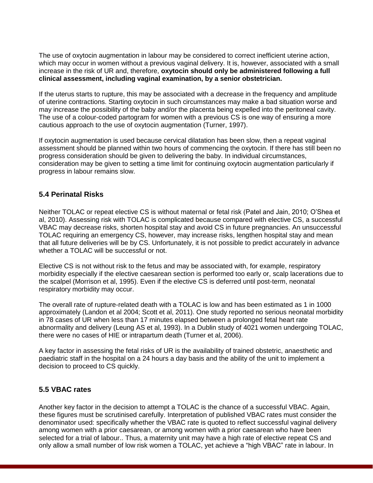The use of oxytocin augmentation in labour may be considered to correct inefficient uterine action, which may occur in women without a previous vaginal delivery. It is, however, associated with a small increase in the risk of UR and, therefore, **oxytocin should only be administered following a full clinical assessment, including vaginal examination, by a senior obstetrician.**

If the uterus starts to rupture, this may be associated with a decrease in the frequency and amplitude of uterine contractions. Starting oxytocin in such circumstances may make a bad situation worse and may increase the possibility of the baby and/or the placenta being expelled into the peritoneal cavity. The use of a colour-coded partogram for women with a previous CS is one way of ensuring a more cautious approach to the use of oxytocin augmentation (Turner, 1997).

If oxytocin augmentation is used because cervical dilatation has been slow, then a repeat vaginal assessment should be planned within two hours of commencing the oxytocin. If there has still been no progress consideration should be given to delivering the baby. In individual circumstances, consideration may be given to setting a time limit for continuing oxytocin augmentation particularly if progress in labour remains slow.

#### <span id="page-7-0"></span>**5.4 Perinatal Risks**

Neither TOLAC or repeat elective CS is without maternal or fetal risk (Patel and Jain, 2010; O'Shea et al, 2010). Assessing risk with TOLAC is complicated because compared with elective CS, a successful VBAC may decrease risks, shorten hospital stay and avoid CS in future pregnancies. An unsuccessful TOLAC requiring an emergency CS, however, may increase risks, lengthen hospital stay and mean that all future deliveries will be by CS. Unfortunately, it is not possible to predict accurately in advance whether a TOLAC will be successful or not.

Elective CS is not without risk to the fetus and may be associated with, for example, respiratory morbidity especially if the elective caesarean section is performed too early or, scalp lacerations due to the scalpel (Morrison et al, 1995). Even if the elective CS is deferred until post-term, neonatal respiratory morbidity may occur.

The overall rate of rupture-related death with a TOLAC is low and has been estimated as 1 in 1000 approximately (Landon et al 2004; Scott et al, 2011). One study reported no serious neonatal morbidity in 78 cases of UR when less than 17 minutes elapsed between a prolonged fetal heart rate abnormality and delivery (Leung AS et al, 1993). In a Dublin study of 4021 women undergoing TOLAC, there were no cases of HIE or intrapartum death (Turner et al, 2006).

A key factor in assessing the fetal risks of UR is the availability of trained obstetric, anaesthetic and paediatric staff in the hospital on a 24 hours a day basis and the ability of the unit to implement a decision to proceed to CS quickly.

#### <span id="page-7-1"></span>**5.5 VBAC rates**

Another key factor in the decision to attempt a TOLAC is the chance of a successful VBAC. Again, these figures must be scrutinised carefully. Interpretation of published VBAC rates must consider the denominator used: specifically whether the VBAC rate is quoted to reflect successful vaginal delivery among women with a prior caesarean, or among women with a prior caesarean who have been selected for a trial of labour.. Thus, a maternity unit may have a high rate of elective repeat CS and only allow a small number of low risk women a TOLAC, yet achieve a "high VBAC" rate in labour. In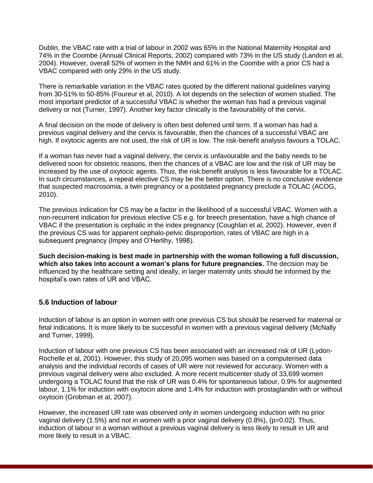Dublin, the VBAC rate with a trial of labour in 2002 was 65% in the National Maternity Hospital and 74% in the Coombe (Annual Clinical Reports, 2002) compared with 73% in the US study (Landon et al, 2004). However, overall 52% of women in the NMH and 61% in the Coombe with a prior CS had a VBAC compared with only 29% in the US study.

There is remarkable variation in the VBAC rates quoted by the different national guidelines varying from 30-51% to 50-85% (Foureur et al, 2010). A lot depends on the selection of women studied. The most important predictor of a successful VBAC is whether the woman has had a previous vaginal delivery or not (Turner, 1997). Another key factor clinically is the favourability of the cervix.

A final decision on the mode of delivery is often best deferred until term. If a woman has had a previous vaginal delivery and the cervix is favourable, then the chances of a successful VBAC are high. If oxytocic agents are not used, the risk of UR is low. The risk-benefit analysis favours a TOLAC.

If a woman has never had a vaginal delivery, the cervix is unfavourable and the baby needs to be delivered soon for obstetric reasons, then the chances of a VBAC are low and the risk of UR may be increased by the use of oxytocic agents. Thus, the risk:benefit analysis is less favourable for a TOLAC. In such circumstances, a repeat elective CS may be the better option. There is no conclusive evidence that suspected macrosomia, a twin pregnancy or a postdated pregnancy preclude a TOLAC (ACOG, 2010).

The previous indication for CS may be a factor in the likelihood of a successful VBAC. Women with a non-recurrent indication for previous elective CS e.g. for breech presentation, have a high chance of VBAC if the presentation is cephalic in the index pregnancy (Coughlan et al, 2002). However, even if the previous CS was for apparent cephalo-pelvic disproportion, rates of VBAC are high in a subsequent pregnancy (Impey and O'Herlihy, 1998).

**Such decision-making is best made in partnership with the woman following a full discussion, which also takes into account a woman's plans for future pregnancies.** The decision may be influenced by the healthcare setting and ideally, in larger maternity units should be informed by the hospital's own rates of UR and VBAC.

#### <span id="page-8-0"></span>**5.6 Induction of labour**

Induction of labour is an option in women with one previous CS but should be reserved for maternal or fetal indications. It is more likely to be successful in women with a previous vaginal delivery (McNally and Turner, 1999).

Induction of labour with one previous CS has been associated with an increased risk of UR (Lydon-Rochelle et al, 2001). However, this study of 20,095 women was based on a computerised data analysis and the individual records of cases of UR were not reviewed for accuracy. Women with a previous vaginal delivery were also excluded. A more recent multicenter study of 33,699 women undergoing a TOLAC found that the risk of UR was 0.4% for spontaneous labour, 0.9% for augmented labour, 1.1% for induction with oxytocin alone and 1.4% for induction with prostaglandin with or without oxytocin (Grobman et al, 2007).

However, the increased UR rate was observed only in women undergoing induction with no prior vaginal delivery  $(1.5%)$  and not in women with a prior vaginal delivery  $(0.8%)$ ,  $(p=0.02)$ . Thus, induction of labour in a woman without a previous vaginal delivery is less likely to result in UR and more likely to result in a VBAC.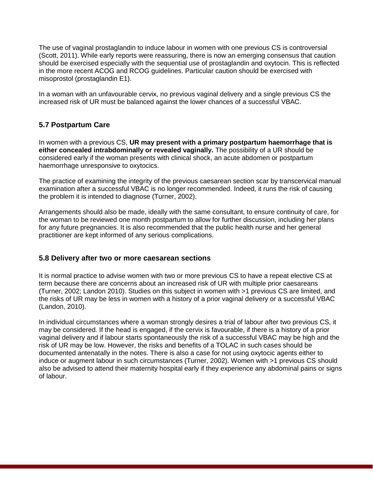The use of vaginal prostaglandin to induce labour in women with one previous CS is controversial (Scott, 2011). While early reports were reassuring, there is now an emerging consensus that caution should be exercised especially with the sequential use of prostaglandin and oxytocin. This is reflected in the more recent ACOG and RCOG guidelines. Particular caution should be exercised with misoprostol (prostaglandin E1).

In a woman with an unfavourable cervix, no previous vaginal delivery and a single previous CS the increased risk of UR must be balanced against the lower chances of a successful VBAC.

#### <span id="page-9-0"></span>**5.7 Postpartum Care**

In women with a previous CS, **UR may present with a primary postpartum haemorrhage that is either concealed intrabdominally or revealed vaginally.** The possibility of a UR should be considered early if the woman presents with clinical shock, an acute abdomen or postpartum haemorrhage unresponsive to oxytocics.

The practice of examining the integrity of the previous caesarean section scar by transcervical manual examination after a successful VBAC is no longer recommended. Indeed, it runs the risk of causing the problem it is intended to diagnose (Turner, 2002).

Arrangements should also be made, ideally with the same consultant, to ensure continuity of care, for the woman to be reviewed one month postpartum to allow for further discussion, including her plans for any future pregnancies. It is also recommended that the public health nurse and her general practitioner are kept informed of any serious complications.

#### <span id="page-9-1"></span>**5.8 Delivery after two or more caesarean sections**

It is normal practice to advise women with two or more previous CS to have a repeat elective CS at term because there are concerns about an increased risk of UR with multiple prior caesareans (Turner, 2002; Landon 2010). Studies on this subject in women with >1 previous CS are limited, and the risks of UR may be less in women with a history of a prior vaginal delivery or a successful VBAC (Landon, 2010).

In individual circumstances where a woman strongly desires a trial of labour after two previous CS, it may be considered. If the head is engaged, if the cervix is favourable, if there is a history of a prior vaginal delivery and if labour starts spontaneously the risk of a successful VBAC may be high and the risk of UR may be low. However, the risks and benefits of a TOLAC in such cases should be documented antenatally in the notes. There is also a case for not using oxytocic agents either to induce or augment labour in such circumstances (Turner, 2002). Women with >1 previous CS should also be advised to attend their maternity hospital early if they experience any abdominal pains or signs of labour.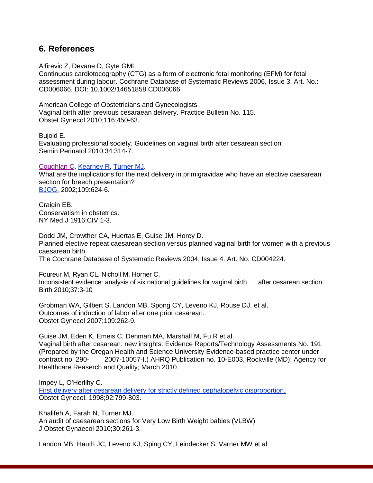### <span id="page-10-0"></span>**6. References**

Alfirevic Z, Devane D, Gyte GML.

Continuous cardiotocography (CTG) as a form of electronic fetal monitoring (EFM) for fetal assessment during labour. Cochrane Database of Systematic Reviews 2006, Issue 3. Art. No.: CD006066. DOI: 10.1002/14651858.CD006066.

American College of Obstetricians and Gynecologists. Vaginal birth after previous cesaraean delivery. Practice Bulletin No. 115. Obstet Gynecol 2010;116:450-63.

Bujold E. Evaluating professional society. Guidelines on vaginal birth after cesarean section. Semin Perinatol 2010;34:314-7.

#### [Coughlan C,](http://www.ncbi.nlm.nih.gov/pubmed?term=%22Coughlan%20C%22%5BAuthor%5D) [Kearney R,](http://www.ncbi.nlm.nih.gov/pubmed?term=%22Kearney%20R%22%5BAuthor%5D) [Turner](http://www.ncbi.nlm.nih.gov/pubmed?term=%22Turner%20MJ%22%5BAuthor%5D) MJ.

What are the implications for the next delivery in primigravidae who have an elective caesarean section for breech presentation? [BJOG.](http://www.ncbi.nlm.nih.gov/pubmed?term=Coughlan%20C%20tURNER) 2002;109:624-6.

Craigin EB. Conservatism in obstetrics. NY Med J 1916;CIV:1-3.

Dodd JM, Crowther CA, Huertas E, Guise JM, Horey D. Planned elective repeat caesarean section versus planned vaginal birth for women with a previous caesarean birth. The Cochrane Database of Systematic Reviews 2004, Issue 4. Art. No. CD004224.

Foureur M, Ryan CL, Nicholl M, Horner C. Inconsistent evidence: analysis of six national guidelines for vaginal birth after cesarean section. Birth 2010;37:3-10

Grobman WA, Gilbert S, Landon MB, Spong CY, Leveno KJ, Rouse DJ, et al. Outcomes of induction of labor after one prior cesarean. Obstet Gynecol 2007;109:262-9.

Guise JM, Eden K, Emeis C, Denman MA, Marshall M, Fu R et al. Vaginal birth after cesarean: new insights. Evidence Reports/Technology Assessments No. 191 (Prepared by the Oregan Health and Science University Evidence-based practice center under contract no. 290- 2007-10057-I.) AHRQ Publication no. 10-E003, Rockville (MD): Agency for Healthcare Reaserch and Quality; March 2010.

Impey L, O'Herlihy C. [First delivery after cesarean delivery for strictly defined cephalopelvic disproportion.](http://www.ncbi.nlm.nih.gov/pubmed/9794672) Obstet Gynecol. 1998;92:799-803.

Khalifeh A, Farah N, Turner MJ. An audit of caesarean sections for Very Low Birth Weight babies (VLBW) J Obstet Gynaecol 2010;30:261-3.

Landon MB, Hauth JC, Leveno KJ, Sping CY, Leindecker S, Varner MW et al.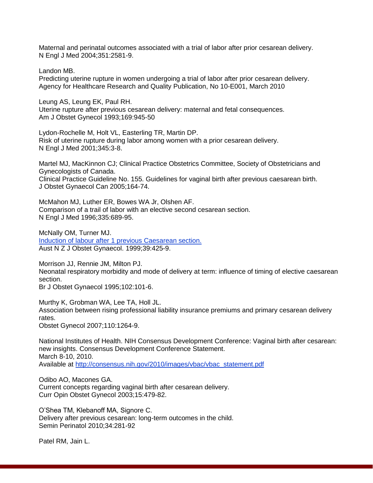Maternal and perinatal outcomes associated with a trial of labor after prior cesarean delivery. N Engl J Med 2004;351:2581-9.

Landon MB.

Predicting uterine rupture in women undergoing a trial of labor after prior cesarean delivery. Agency for Healthcare Research and Quality Publication, No 10-E001, March 2010

Leung AS, Leung EK, Paul RH. Uterine rupture after previous cesarean delivery: maternal and fetal consequences. Am J Obstet Gynecol 1993;169:945-50

Lydon-Rochelle M, Holt VL, Easterling TR, Martin DP. Risk of uterine rupture during labor among women with a prior cesarean delivery. N Engl J Med 2001;345:3-8.

Martel MJ, MacKinnon CJ; Clinical Practice Obstetrics Committee, Society of Obstetricians and Gynecologists of Canada. Clinical Practice Guideline No. 155. Guidelines for vaginal birth after previous caesarean birth. J Obstet Gynaecol Can 2005;164-74.

McMahon MJ, Luther ER, Bowes WA Jr, Olshen AF. Comparison of a trail of labor with an elective second cesarean section. N Engl J Med 1996;335:689-95.

McNally OM, Turner MJ. [Induction of labour after 1 previous Caesarean section.](http://www.ncbi.nlm.nih.gov/pubmed/10687757) Aust N Z J Obstet Gynaecol. 1999;39:425-9.

Morrison JJ, Rennie JM, Milton PJ. Neonatal respiratory morbidity and mode of delivery at term: influence of timing of elective caesarean section.

Br J Obstet Gynaecol 1995;102:101-6.

Murthy K, Grobman WA, Lee TA, Holl JL. Association between rising professional liability insurance premiums and primary cesarean delivery rates.

Obstet Gynecol 2007;110:1264-9.

National Institutes of Health. NIH Consensus Development Conference: Vaginal birth after cesarean: new insights. Consensus Development Conference Statement. March 8-10, 2010. Available at [http://consensus.nih.gov/2010/images/vbac/vbac\\_statement.pdf](http://consensus.nih.gov/2010/images/vbac/vbac_statement.pdf)

Odibo AO, Macones GA. Current concepts regarding vaginal birth after cesarean delivery. Curr Opin Obstet Gynecol 2003;15:479-82.

O'Shea TM, Klebanoff MA, Signore C. Delivery after previous cesarean: long-term outcomes in the child. Semin Perinatol 2010;34:281-92

Patel RM, Jain L.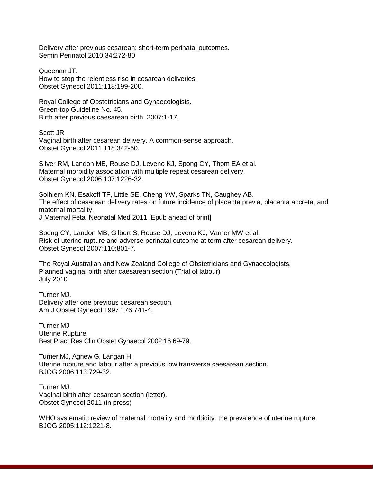Delivery after previous cesarean: short-term perinatal outcomes. Semin Perinatol 2010;34:272-80

Queenan JT. How to stop the relentless rise in cesarean deliveries. Obstet Gynecol 2011;118:199-200.

Royal College of Obstetricians and Gynaecologists. Green-top Guideline No. 45. Birth after previous caesarean birth. 2007:1-17.

Scott JR Vaginal birth after cesarean delivery. A common-sense approach. Obstet Gynecol 2011;118:342-50.

Silver RM, Landon MB, Rouse DJ, Leveno KJ, Spong CY, Thom EA et al. Maternal morbidity association with multiple repeat cesarean delivery. Obstet Gynecol 2006;107:1226-32.

Solhiem KN, Esakoff TF, Little SE, Cheng YW, Sparks TN, Caughey AB. The effect of cesarean delivery rates on future incidence of placenta previa, placenta accreta, and maternal mortality. J Maternal Fetal Neonatal Med 2011 [Epub ahead of print]

Spong CY, Landon MB, Gilbert S, Rouse DJ, Leveno KJ, Varner MW et al. Risk of uterine rupture and adverse perinatal outcome at term after cesarean delivery. Obstet Gynecol 2007;110:801-7.

The Royal Australian and New Zealand College of Obstetricians and Gynaecologists. Planned vaginal birth after caesarean section (Trial of labour) July 2010

Turner MJ. Delivery after one previous cesarean section. Am J Obstet Gynecol 1997;176:741-4.

Turner MJ Uterine Rupture. Best Pract Res Clin Obstet Gynaecol 2002;16:69-79.

Turner MJ, Agnew G, Langan H. Uterine rupture and labour after a previous low transverse caesarean section. BJOG 2006;113:729-32.

Turner MJ. Vaginal birth after cesarean section (letter). Obstet Gynecol 2011 (in press)

WHO systematic review of maternal mortality and morbidity: the prevalence of uterine rupture. BJOG 2005;112:1221-8.